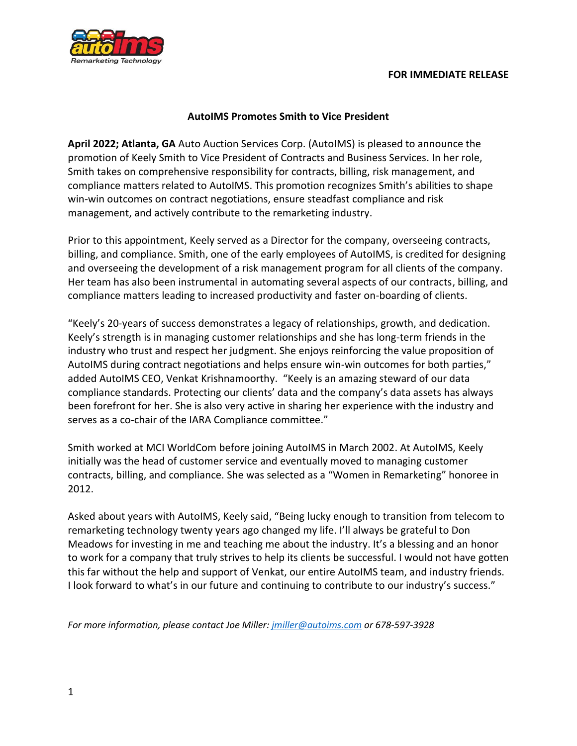

## **AutoIMS Promotes Smith to Vice President**

**April 2022; Atlanta, GA** Auto Auction Services Corp. (AutoIMS) is pleased to announce the promotion of Keely Smith to Vice President of Contracts and Business Services. In her role, Smith takes on comprehensive responsibility for contracts, billing, risk management, and compliance matters related to AutoIMS. This promotion recognizes Smith's abilities to shape win-win outcomes on contract negotiations, ensure steadfast compliance and risk management, and actively contribute to the remarketing industry.

Prior to this appointment, Keely served as a Director for the company, overseeing contracts, billing, and compliance. Smith, one of the early employees of AutoIMS, is credited for designing and overseeing the development of a risk management program for all clients of the company. Her team has also been instrumental in automating several aspects of our contracts, billing, and compliance matters leading to increased productivity and faster on-boarding of clients.

"Keely's 20-years of success demonstrates a legacy of relationships, growth, and dedication. Keely's strength is in managing customer relationships and she has long-term friends in the industry who trust and respect her judgment. She enjoys reinforcing the value proposition of AutoIMS during contract negotiations and helps ensure win-win outcomes for both parties," added AutoIMS CEO, Venkat Krishnamoorthy. "Keely is an amazing steward of our data compliance standards. Protecting our clients' data and the company's data assets has always been forefront for her. She is also very active in sharing her experience with the industry and serves as a co-chair of the IARA Compliance committee."

Smith worked at MCI WorldCom before joining AutoIMS in March 2002. At AutoIMS, Keely initially was the head of customer service and eventually moved to managing customer contracts, billing, and compliance. She was selected as a "Women in Remarketing" honoree in 2012.

Asked about years with AutoIMS, Keely said, "Being lucky enough to transition from telecom to remarketing technology twenty years ago changed my life. I'll always be grateful to Don Meadows for investing in me and teaching me about the industry. It's a blessing and an honor to work for a company that truly strives to help its clients be successful. I would not have gotten this far without the help and support of Venkat, our entire AutoIMS team, and industry friends. I look forward to what's in our future and continuing to contribute to our industry's success."

*For more information, please contact Joe Miller: [jmiller@autoims.com](mailto:jmiller@autoims.com) or 678-597-3928*